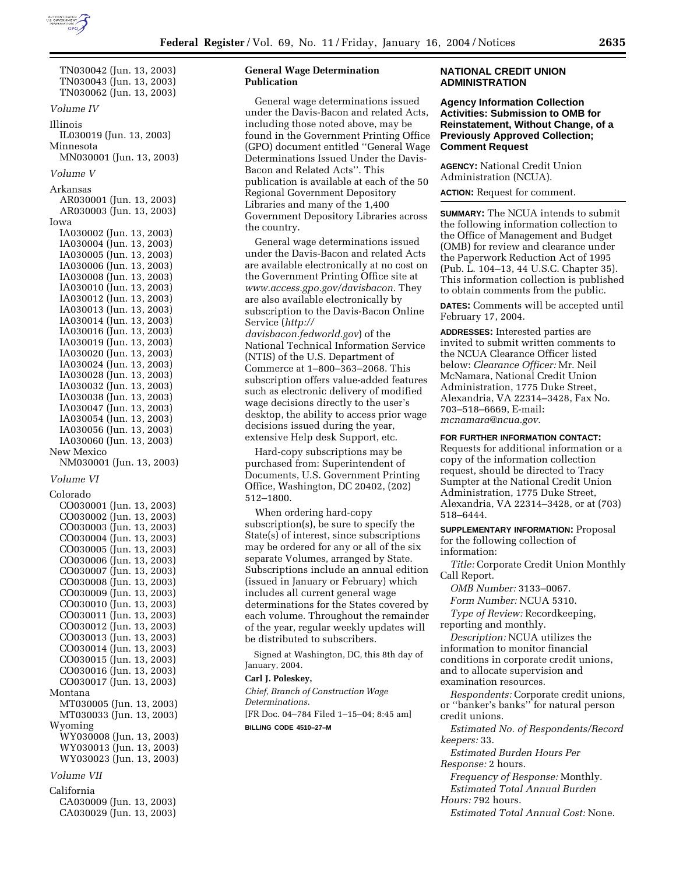

TN030042 (Jun. 13, 2003) TN030043 (Jun. 13, 2003) TN030062 (Jun. 13, 2003) *Volume IV*  Illinois IL030019 (Jun. 13, 2003) Minnesota MN030001 (Jun. 13, 2003) *Volume V*  Arkansas AR030001 (Jun. 13, 2003) AR030003 (Jun. 13, 2003) Iowa IA030002 (Jun. 13, 2003) IA030004 (Jun. 13, 2003) IA030005 (Jun. 13, 2003) IA030006 (Jun. 13, 2003) IA030008 (Jun. 13, 2003) IA030010 (Jun. 13, 2003) IA030012 (Jun. 13, 2003) IA030013 (Jun. 13, 2003) IA030014 (Jun. 13, 2003) IA030016 (Jun. 13, 2003) IA030019 (Jun. 13, 2003) IA030020 (Jun. 13, 2003) IA030024 (Jun. 13, 2003) IA030028 (Jun. 13, 2003) IA030032 (Jun. 13, 2003) IA030038 (Jun. 13, 2003) IA030047 (Jun. 13, 2003) IA030054 (Jun. 13, 2003) IA030056 (Jun. 13, 2003) IA030060 (Jun. 13, 2003) New Mexico NM030001 (Jun. 13, 2003) *Volume VI*  Colorado CO030001 (Jun. 13, 2003) CO030002 (Jun. 13, 2003) CO030003 (Jun. 13, 2003) CO030004 (Jun. 13, 2003) CO030005 (Jun. 13, 2003) CO030006 (Jun. 13, 2003) CO030007 (Jun. 13, 2003) CO030008 (Jun. 13, 2003) CO030009 (Jun. 13, 2003) CO030010 (Jun. 13, 2003) CO030011 (Jun. 13, 2003) CO030012 (Jun. 13, 2003) CO030013 (Jun. 13, 2003) CO030014 (Jun. 13, 2003) CO030015 (Jun. 13, 2003) CO030016 (Jun. 13, 2003) CO030017 (Jun. 13, 2003) Montana MT030005 (Jun. 13, 2003) MT030033 (Jun. 13, 2003) Wyoming WY030008 (Jun. 13, 2003) WY030013 (Jun. 13, 2003) WY030023 (Jun. 13, 2003)

#### *Volume VII*

California CA030009 (Jun. 13, 2003) CA030029 (Jun. 13, 2003)

# **General Wage Determination Publication**

General wage determinations issued under the Davis-Bacon and related Acts, including those noted above, may be found in the Government Printing Office (GPO) document entitled ''General Wage Determinations Issued Under the Davis-Bacon and Related Acts''. This publication is available at each of the 50 Regional Government Depository Libraries and many of the 1,400 Government Depository Libraries across the country.

General wage determinations issued under the Davis-Bacon and related Acts are available electronically at no cost on the Government Printing Office site at *www.access.gpo.gov/davisbacon.* They are also available electronically by subscription to the Davis-Bacon Online Service (*http:// davisbacon.fedworld.gov*) of the National Technical Information Service (NTIS) of the U.S. Department of Commerce at 1–800–363–2068. This

subscription offers value-added features such as electronic delivery of modified wage decisions directly to the user's desktop, the ability to access prior wage decisions issued during the year, extensive Help desk Support, etc.

Hard-copy subscriptions may be purchased from: Superintendent of Documents, U.S. Government Printing Office, Washington, DC 20402, (202) 512–1800.

When ordering hard-copy subscription(s), be sure to specify the State(s) of interest, since subscriptions may be ordered for any or all of the six separate Volumes, arranged by State. Subscriptions include an annual edition (issued in January or February) which includes all current general wage determinations for the States covered by each volume. Throughout the remainder of the year, regular weekly updates will be distributed to subscribers.

Signed at Washington, DC, this 8th day of January, 2004.

#### **Carl J. Poleskey,**

*Chief, Branch of Construction Wage Determinations.* [FR Doc. 04–784 Filed 1–15–04; 8:45 am]

**BILLING CODE 4510–27–M**

### **NATIONAL CREDIT UNION ADMINISTRATION**

**Agency Information Collection Activities: Submission to OMB for Reinstatement, Without Change, of a Previously Approved Collection; Comment Request**

**AGENCY:** National Credit Union Administration (NCUA).

**ACTION:** Request for comment.

**SUMMARY:** The NCUA intends to submit the following information collection to the Office of Management and Budget (OMB) for review and clearance under the Paperwork Reduction Act of 1995 (Pub. L. 104–13, 44 U.S.C. Chapter 35). This information collection is published to obtain comments from the public.

**DATES:** Comments will be accepted until February 17, 2004.

**ADDRESSES:** Interested parties are invited to submit written comments to the NCUA Clearance Officer listed below: *Clearance Officer:* Mr. Neil McNamara, National Credit Union Administration, 1775 Duke Street, Alexandria, VA 22314–3428, Fax No. 703–518–6669, E-mail: *mcnamara@ncua.gov.*

# **FOR FURTHER INFORMATION CONTACT:**

Requests for additional information or a copy of the information collection request, should be directed to Tracy Sumpter at the National Credit Union Administration, 1775 Duke Street, Alexandria, VA 22314–3428, or at (703) 518–6444.

**SUPPLEMENTARY INFORMATION:** Proposal for the following collection of information:

*Title:* Corporate Credit Union Monthly Call Report.

*OMB Number:* 3133–0067.

*Form Number:* NCUA 5310.

*Type of Review:* Recordkeeping, reporting and monthly.

*Description:* NCUA utilizes the information to monitor financial conditions in corporate credit unions, and to allocate supervision and examination resources.

*Respondents:* Corporate credit unions, or ''banker's banks'' for natural person credit unions.

*Estimated No. of Respondents/Record keepers:* 33.

*Estimated Burden Hours Per Response:* 2 hours.

*Frequency of Response:* Monthly.

*Estimated Total Annual Burden Hours:* 792 hours.

*Estimated Total Annual Cost:* None.